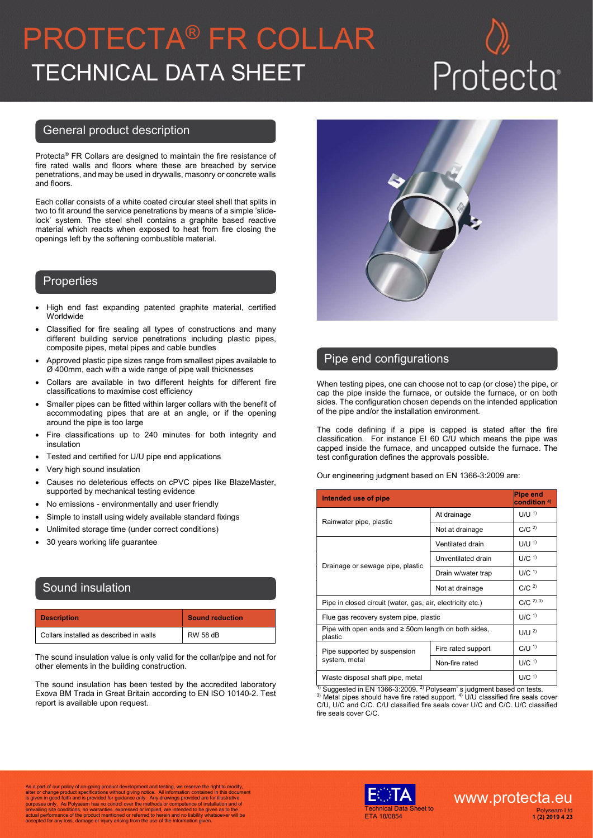# PROTECTA® FR COLLAR TECHNICAL DATA SHEET

### General product description

Protecta® FR Collars are designed to maintain the fire resistance of fire rated walls and floors where these are breached by service penetrations, and may be used in drywalls, masonry or concrete walls and floors.

Each collar consists of a white coated circular steel shell that splits in two to fit around the service penetrations by means of a simple 'slidelock' system. The steel shell contains a graphite based reactive material which reacts when exposed to heat from fire closing the openings left by the softening combustible material.

### **Properties**

- High end fast expanding patented graphite material, certified **Worldwide**
- Classified for fire sealing all types of constructions and many different building service penetrations including plastic pipes, composite pipes, metal pipes and cable bundles
- Approved plastic pipe sizes range from smallest pipes available to Ø 400mm, each with a wide range of pipe wall thicknesses
- Collars are available in two different heights for different fire classifications to maximise cost efficiency
- Smaller pipes can be fitted within larger collars with the benefit of accommodating pipes that are at an angle, or if the opening around the pipe is too large
- Fire classifications up to 240 minutes for both integrity and insulation
- Tested and certified for U/U pipe end applications
- Very high sound insulation
- Causes no deleterious effects on cPVC pipes like BlazeMaster, supported by mechanical testing evidence
- No emissions environmentally and user friendly
- Simple to install using widely available standard fixings
- Unlimited storage time (under correct conditions)
- 30 years working life guarantee

## Sound insulation

| <b>Description</b>                      | <b>Sound reduction</b> |
|-----------------------------------------|------------------------|
| Collars installed as described in walls | <b>RW 58 dB</b>        |

The sound insulation value is only valid for the collar/pipe and not for other elements in the building construction.

The sound insulation has been tested by the accredited laboratory Exova BM Trada in Great Britain according to EN ISO 10140-2. Test report is available upon request.



## Pipe end configurations

When testing pipes, one can choose not to cap (or close) the pipe, or cap the pipe inside the furnace, or outside the furnace, or on both sides. The configuration chosen depends on the intended application of the pipe and/or the installation environment.

The code defining if a pipe is capped is stated after the fire classification. For instance EI 60 C/U which means the pipe was capped inside the furnace, and uncapped outside the furnace. The test configuration defines the approvals possible.

Our engineering judgment based on EN 1366-3:2009 are:

| Intended use of pipe                                                 |                    | <b>Pipe end</b><br>condition <sup>4)</sup> |
|----------------------------------------------------------------------|--------------------|--------------------------------------------|
|                                                                      | At drainage        | $U/U$ <sup>1)</sup>                        |
| Rainwater pipe, plastic                                              | Not at drainage    | C/C <sup>2</sup>                           |
|                                                                      | Ventilated drain   | $U/U$ <sup>1)</sup>                        |
| Drainage or sewage pipe, plastic                                     | Unventilated drain | $U/C$ <sup>1)</sup>                        |
|                                                                      | Drain w/water trap | $U/C$ <sup>1)</sup>                        |
|                                                                      | Not at drainage    | C/C <sup>2</sup>                           |
| Pipe in closed circuit (water, gas, air, electricity etc.)           |                    | C/C <sup>2)3)</sup>                        |
| Flue gas recovery system pipe, plastic                               |                    | $U/C$ <sup>1)</sup>                        |
| Pipe with open ends and $\geq$ 50cm length on both sides,<br>plastic |                    | U/U <sup>2</sup>                           |
| Pipe supported by suspension<br>system, metal                        | Fire rated support | $C/U$ <sup>1)</sup>                        |
|                                                                      | Non-fire rated     | $U/C$ <sup>1)</sup>                        |
| Waste disposal shaft pipe, metal                                     |                    | $U/C$ <sup>1)</sup>                        |

<sup>1)</sup> Suggested in EN 1366-3:2009. <sup>2)</sup> Polyseam' s judgment based on tests.

 $3)$  Metal pipes should have fire rated support.  $4)$  U/U classified fire seals cover C/U, U/C and C/C. C/U classified fire seals cover U/C and C/C. U/C classified fire seals cover C/C.

As a part of our policy of on-going product development and testing, we reserve the right to modify,<br>alter or change product specifications without giving notice. All information contained in this document<br>is given in good